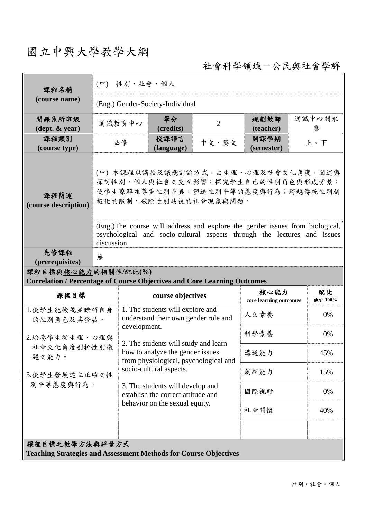## 國立中興大學教學大綱

Ш

社會科學領域-公民與社會學群

| 課程名稱                                                                                                   | (中) 性別·社會·個人                                                                                                                                                                                                                                                                                                       |                                                                                                                                                                                                                                                                                                                                                      |                |                                |               |  |  |  |
|--------------------------------------------------------------------------------------------------------|--------------------------------------------------------------------------------------------------------------------------------------------------------------------------------------------------------------------------------------------------------------------------------------------------------------------|------------------------------------------------------------------------------------------------------------------------------------------------------------------------------------------------------------------------------------------------------------------------------------------------------------------------------------------------------|----------------|--------------------------------|---------------|--|--|--|
| (course name)                                                                                          | (Eng.) Gender-Society-Individual                                                                                                                                                                                                                                                                                   |                                                                                                                                                                                                                                                                                                                                                      |                |                                |               |  |  |  |
| 開課系所班級<br>$(\text{dept.} \& \text{ year})$                                                             | 通識教育中心                                                                                                                                                                                                                                                                                                             | 學分<br>(credits)                                                                                                                                                                                                                                                                                                                                      | $\overline{2}$ | 規劃教師<br>(teacher)              | 通識中心關永<br>馨   |  |  |  |
| 課程類別<br>(course type)                                                                                  | 必修                                                                                                                                                                                                                                                                                                                 | 授課語言<br>(language)                                                                                                                                                                                                                                                                                                                                   | 中文、英文          | 開課學期<br>(semester)             | 上、下           |  |  |  |
| 課程簡述<br>(course description)                                                                           | (中) 本課程以講授及議題討論方式,由生理、心理及社會文化角度, 闡述與<br>探討性別、個人與社會之交互影響;探究學生自己的性別角色與形成背景;<br>使學生瞭解並尊重性別差異,塑造性別平等的態度與行為;跨越傳統性別刻<br>板化的限制,破除性別歧視的社會現象與問題。<br>(Eng.)The course will address and explore the gender issues from biological,<br>psychological and socio-cultural aspects through the lectures and issues<br>discussion. |                                                                                                                                                                                                                                                                                                                                                      |                |                                |               |  |  |  |
| 先修課程<br>(prerequisites)                                                                                | 無                                                                                                                                                                                                                                                                                                                  |                                                                                                                                                                                                                                                                                                                                                      |                |                                |               |  |  |  |
| 課程目標與核心能力的相關性/配比(%)<br><b>Correlation / Percentage of Course Objectives and Core Learning Outcomes</b> |                                                                                                                                                                                                                                                                                                                    |                                                                                                                                                                                                                                                                                                                                                      |                |                                |               |  |  |  |
| 課程目標                                                                                                   |                                                                                                                                                                                                                                                                                                                    | course objectives                                                                                                                                                                                                                                                                                                                                    |                | 核心能力<br>core learning outcomes | 配比<br>總計 100% |  |  |  |
| 1.使學生能檢視並瞭解自身<br>的性别角色及其發展。                                                                            |                                                                                                                                                                                                                                                                                                                    | 1. The students will explore and<br>understand their own gender role and<br>development.<br>2. The students will study and learn<br>how to analyze the gender issues<br>from physiological, psychological and<br>socio-cultural aspects.<br>3. The students will develop and<br>establish the correct attitude and<br>behavior on the sexual equity. |                | 人文素養                           | 0%            |  |  |  |
| 2.培養學生從生理、心理與                                                                                          |                                                                                                                                                                                                                                                                                                                    |                                                                                                                                                                                                                                                                                                                                                      |                | 科學素養                           | 0%            |  |  |  |
| 社會文化角度剖析性別議<br>題之能力。                                                                                   |                                                                                                                                                                                                                                                                                                                    |                                                                                                                                                                                                                                                                                                                                                      |                | 溝通能力                           | 45%           |  |  |  |
| 3.使學生發展建立正確之性                                                                                          |                                                                                                                                                                                                                                                                                                                    |                                                                                                                                                                                                                                                                                                                                                      |                | 創新能力                           | 15%           |  |  |  |
| 別平等態度與行為。                                                                                              |                                                                                                                                                                                                                                                                                                                    |                                                                                                                                                                                                                                                                                                                                                      |                | 國際視野                           | 0%            |  |  |  |
|                                                                                                        |                                                                                                                                                                                                                                                                                                                    |                                                                                                                                                                                                                                                                                                                                                      |                | 社會關懷                           | 40%           |  |  |  |
|                                                                                                        |                                                                                                                                                                                                                                                                                                                    |                                                                                                                                                                                                                                                                                                                                                      |                |                                |               |  |  |  |
|                                                                                                        |                                                                                                                                                                                                                                                                                                                    |                                                                                                                                                                                                                                                                                                                                                      |                |                                |               |  |  |  |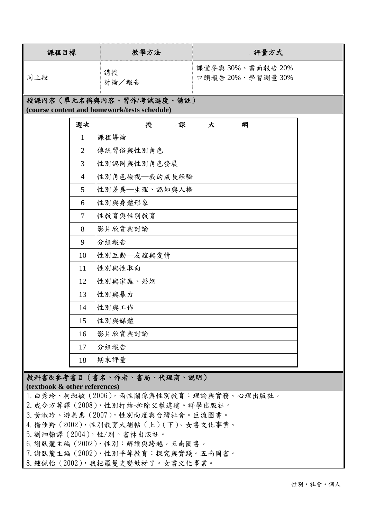| 課程目標                                                                             |                | 教學方法           | 評量方式                                 |  |  |  |  |  |
|----------------------------------------------------------------------------------|----------------|----------------|--------------------------------------|--|--|--|--|--|
| 同上段                                                                              |                | 講授<br>討論/報告    | 課堂參與 30%、書面報告 20%<br>口頭報告20%、學習測量30% |  |  |  |  |  |
| 授課內容(單元名稱與內容、習作/考試進度、備註)<br>(course content and homework/tests schedule)         |                |                |                                      |  |  |  |  |  |
|                                                                                  | 週次             | 授<br>課         | 大<br>綱                               |  |  |  |  |  |
|                                                                                  | 1              | 課程導論           |                                      |  |  |  |  |  |
|                                                                                  | 2              | 傳統習俗與性別角色      |                                      |  |  |  |  |  |
|                                                                                  | 3              | 性別認同與性別角色發展    |                                      |  |  |  |  |  |
|                                                                                  | $\overline{4}$ | 性別角色檢視––我的成長經驗 |                                      |  |  |  |  |  |
|                                                                                  | 5              | 性別差異–生理、認知與人格  |                                      |  |  |  |  |  |
|                                                                                  | 6              | 性別與身體形象        |                                      |  |  |  |  |  |
|                                                                                  | 7              | 性教育與性別教育       |                                      |  |  |  |  |  |
|                                                                                  | 8              | 影片欣賞與討論        |                                      |  |  |  |  |  |
|                                                                                  | 9              | 分組報告           |                                      |  |  |  |  |  |
|                                                                                  | 10             | 性別互動–友誼與愛情     |                                      |  |  |  |  |  |
|                                                                                  | 11             | 性別與性取向         |                                      |  |  |  |  |  |
|                                                                                  | 12             | 性別與家庭、婚姻       |                                      |  |  |  |  |  |
|                                                                                  | 13             | 性別與暴力          |                                      |  |  |  |  |  |
|                                                                                  | 14             | 性別與工作          |                                      |  |  |  |  |  |
|                                                                                  | 15             | 性別與媒體          |                                      |  |  |  |  |  |
|                                                                                  | 16             | 影片欣賞與討論        |                                      |  |  |  |  |  |
|                                                                                  | 17             | 分組報告           |                                      |  |  |  |  |  |
|                                                                                  | 18             | 期末評量           |                                      |  |  |  |  |  |
| 教科書&參考書目(書名、作者、書局、代理商、說明)                                                        |                |                |                                      |  |  |  |  |  |
| (textbook & other references)                                                    |                |                |                                      |  |  |  |  |  |
| 1. 白秀玲、柯淑敏 (2006), 兩性關係與性別教育:理論與實務。心理出版社。<br>2. 成令方等譯 (2008), 性別打結-拆除父權違建。群學出版社。 |                |                |                                      |  |  |  |  |  |
| 3. 黄淑玲、游美惠 (2007), 性別向度與台灣社會。巨流圖書。                                               |                |                |                                      |  |  |  |  |  |
| 4. 楊佳羚 (2002), 性別教育大補帖 (上) (下)。女書文化事業。                                           |                |                |                                      |  |  |  |  |  |
| 5. 劉泗翰譯 (2004), 性/別。書林出版社。                                                       |                |                |                                      |  |  |  |  |  |
| 6. 謝臥龍主編 (2002), 性別:解讀與跨越。五南圖書。                                                  |                |                |                                      |  |  |  |  |  |

- 7.謝臥龍主編(2002),性別平等教育:探究與實踐。五南圖書。
- 8. 鍾佩怡 (2002), 我把羅曼史變教材了。女書文化事業。